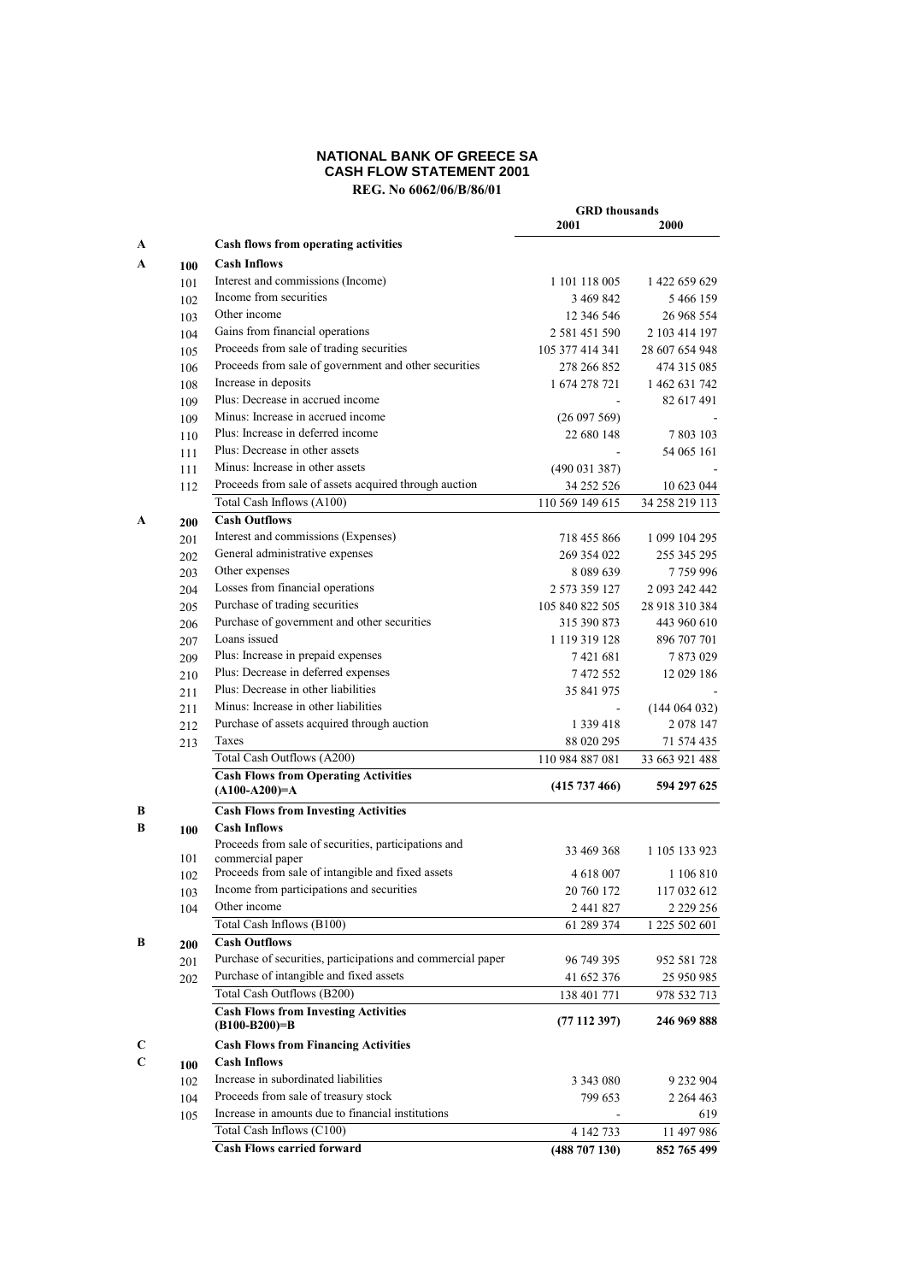# **NATIONAL BANK OF GREECE SA CASH FLOW STATEMENT 2001 REG. No 6062/06/B/86/01**

|             |     |                                                                | <b>GRD</b> thousands<br>2001 | 2000           |
|-------------|-----|----------------------------------------------------------------|------------------------------|----------------|
| A           |     | Cash flows from operating activities                           |                              |                |
| A           | 100 | <b>Cash Inflows</b>                                            |                              |                |
|             | 101 | Interest and commissions (Income)                              | 1 101 118 005                | 1 422 659 629  |
|             | 102 | Income from securities                                         | 3 469 842                    | 5 466 159      |
|             | 103 | Other income                                                   | 12 346 546                   | 26 968 554     |
|             | 104 | Gains from financial operations                                | 2 581 451 590                | 2 103 414 197  |
|             | 105 | Proceeds from sale of trading securities                       | 105 377 414 341              | 28 607 654 948 |
|             | 106 | Proceeds from sale of government and other securities          | 278 266 852                  | 474 315 085    |
|             | 108 | Increase in deposits                                           | 1 674 278 721                | 1 462 631 742  |
|             | 109 | Plus: Decrease in accrued income                               |                              | 82 617 491     |
|             | 109 | Minus: Increase in accrued income                              | (26097569)                   |                |
|             | 110 | Plus: Increase in deferred income                              | 22 680 148                   | 7 803 103      |
|             | 111 | Plus: Decrease in other assets                                 |                              | 54 065 161     |
|             | 111 | Minus: Increase in other assets                                | (490 031 387)                |                |
|             | 112 | Proceeds from sale of assets acquired through auction          | 34 252 526                   | 10 623 044     |
|             |     | Total Cash Inflows (A100)                                      | 110 569 149 615              | 34 258 219 113 |
| A           | 200 | <b>Cash Outflows</b>                                           |                              |                |
|             | 201 | Interest and commissions (Expenses)                            | 718 455 866                  | 1 099 104 295  |
|             | 202 | General administrative expenses                                | 269 354 022                  | 255 345 295    |
|             | 203 | Other expenses                                                 | 8 0 8 9 6 3 9                | 7759996        |
|             | 204 | Losses from financial operations                               | 2 573 359 127                | 2 093 242 442  |
|             | 205 | Purchase of trading securities                                 | 105 840 822 505              | 28 918 310 384 |
|             | 206 | Purchase of government and other securities                    | 315 390 873                  | 443 960 610    |
|             | 207 | Loans issued                                                   | 1 119 319 128                | 896 707 701    |
|             | 209 | Plus: Increase in prepaid expenses                             | 7421681                      | 7873029        |
|             |     | Plus: Decrease in deferred expenses                            | 7 472 552                    | 12 029 186     |
|             | 210 | Plus: Decrease in other liabilities                            | 35 841 975                   |                |
|             | 211 | Minus: Increase in other liabilities                           |                              | (144064032)    |
|             | 211 | Purchase of assets acquired through auction                    | 1 3 3 9 4 1 8                | 2 0 78 147     |
|             | 212 | Taxes                                                          |                              |                |
|             | 213 | Total Cash Outflows (A200)                                     | 88 020 295                   | 71 574 435     |
|             |     | <b>Cash Flows from Operating Activities</b>                    | 110 984 887 081              | 33 663 921 488 |
|             |     | $(A100-A200)=A$                                                | (415 737 466)                | 594 297 625    |
| B           |     | <b>Cash Flows from Investing Activities</b>                    |                              |                |
| B           | 100 | <b>Cash Inflows</b>                                            |                              |                |
|             |     | Proceeds from sale of securities, participations and           | 33 469 368                   | 1 105 133 923  |
|             | 101 | commercial paper                                               |                              |                |
|             | 102 | Proceeds from sale of intangible and fixed assets              | 4 618 007                    | 1 106 810      |
|             | 103 | Income from participations and securities                      | 20 760 172                   | 117 032 612    |
|             | 104 | Other income                                                   | 2 441 827                    | 2 2 2 2 2 5 6  |
|             |     | Total Cash Inflows (B100)                                      | 61 289 374                   | 1 225 502 601  |
| B           | 200 | <b>Cash Outflows</b>                                           |                              |                |
|             | 201 | Purchase of securities, participations and commercial paper    | 96 749 395                   | 952 581 728    |
|             | 202 | Purchase of intangible and fixed assets                        | 41 652 376                   | 25 950 985     |
|             |     | Total Cash Outflows (B200)                                     | 138 401 771                  | 978 532 713    |
|             |     | <b>Cash Flows from Investing Activities</b><br>$(B100-B200)=B$ | (77112397)                   | 246 969 888    |
| C           |     | <b>Cash Flows from Financing Activities</b>                    |                              |                |
| $\mathbf C$ | 100 | <b>Cash Inflows</b>                                            |                              |                |
|             | 102 | Increase in subordinated liabilities                           | 3 3 4 3 0 8 0                | 9 232 904      |
|             | 104 | Proceeds from sale of treasury stock                           | 799 653                      | 2 2 6 4 4 6 3  |
|             | 105 | Increase in amounts due to financial institutions              |                              | 619            |
|             |     | Total Cash Inflows (C100)                                      | 4 142 733                    | 11 497 986     |
|             |     | <b>Cash Flows carried forward</b>                              | (488707130)                  | 852 765 499    |